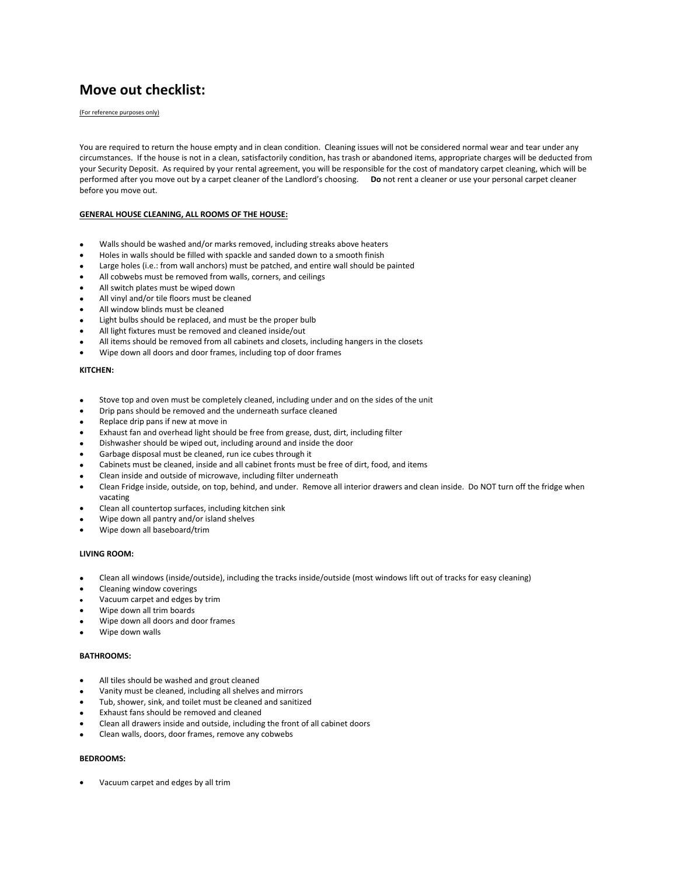# **Move out checklist:**

(For reference purposes only)

You are required to return the house empty and in clean condition. Cleaning issues will not be considered normal wear and tear under any circumstances. If the house is not in a clean, satisfactorily condition, has trash or abandoned items, appropriate charges will be deducted from your Security Deposit. As required by your rental agreement, you will be responsible for the cost of mandatory carpet cleaning, which will be performed after you move out by a carpet cleaner of the Landlord's choosing. **Do** not rent a cleaner or use your personal carpet cleaner before you move out.

## **GENERAL HOUSE CLEANING, ALL ROOMS OF THE HOUSE:**

- Walls should be washed and/or marks removed, including streaks above heaters
- Holes in walls should be filled with spackle and sanded down to a smooth finish
- Large holes (i.e.: from wall anchors) must be patched, and entire wall should be painted
- All cobwebs must be removed from walls, corners, and ceilings
- All switch plates must be wiped down
- All vinyl and/or tile floors must be cleaned
- All window blinds must be cleaned
- Light bulbs should be replaced, and must be the proper bulb
- All light fixtures must be removed and cleaned inside/out
- All items should be removed from all cabinets and closets, including hangers in the closets
- Wipe down all doors and door frames, including top of door frames

#### **KITCHEN:**

- Stove top and oven must be completely cleaned, including under and on the sides of the unit
- Drip pans should be removed and the underneath surface cleaned
- Replace drip pans if new at move in
- Exhaust fan and overhead light should be free from grease, dust, dirt, including filter
- Dishwasher should be wiped out, including around and inside the door
- Garbage disposal must be cleaned, run ice cubes through it
- Cabinets must be cleaned, inside and all cabinet fronts must be free of dirt, food, and items
- Clean inside and outside of microwave, including filter underneath
- Clean Fridge inside, outside, on top, behind, and under. Remove all interior drawers and clean inside. Do NOT turn off the fridge when vacating
- Clean all countertop surfaces, including kitchen sink
- Wipe down all pantry and/or island shelves
- Wipe down all baseboard/trim

#### **LIVING ROOM:**

- Clean all windows (inside/outside), including the tracks inside/outside (most windows lift out of tracks for easy cleaning)
- Cleaning window coverings
- Vacuum carpet and edges by trim
- Wipe down all trim boards
- Wipe down all doors and door frames
- Wipe down walls

#### **BATHROOMS:**

- All tiles should be washed and grout cleaned
- Vanity must be cleaned, including all shelves and mirrors
- Tub, shower, sink, and toilet must be cleaned and sanitized
- Exhaust fans should be removed and cleaned
- Clean all drawers inside and outside, including the front of all cabinet doors
- Clean walls, doors, door frames, remove any cobwebs

## **BEDROOMS:**

Vacuum carpet and edges by all trim